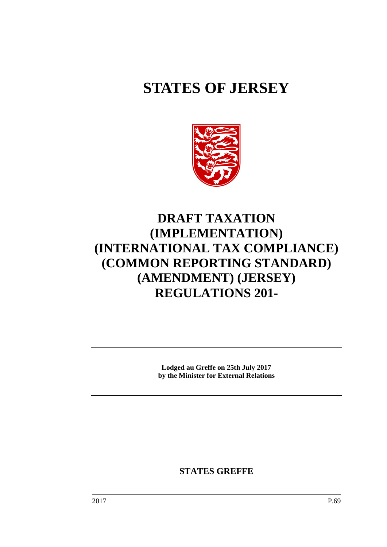# **STATES OF JERSEY**



# **DRAFT TAXATION (IMPLEMENTATION) (INTERNATIONAL TAX COMPLIANCE) (COMMON REPORTING STANDARD) (AMENDMENT) (JERSEY) REGULATIONS 201-**

**Lodged au Greffe on 25th July 2017 by the Minister for External Relations**

**STATES GREFFE**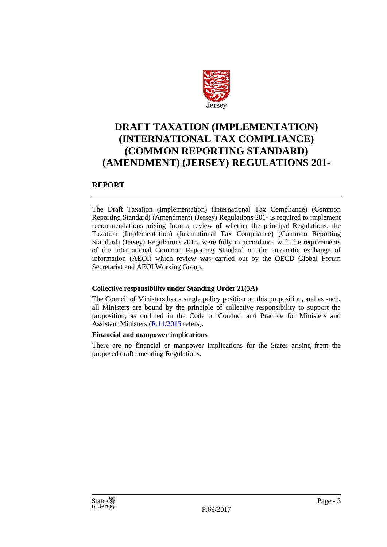

## **DRAFT TAXATION (IMPLEMENTATION) (INTERNATIONAL TAX COMPLIANCE) (COMMON REPORTING STANDARD) (AMENDMENT) (JERSEY) REGULATIONS 201-**

## **REPORT**

The Draft Taxation (Implementation) (International Tax Compliance) (Common Reporting Standard) (Amendment) (Jersey) Regulations 201- is required to implement recommendations arising from a review of whether the principal Regulations, the Taxation (Implementation) (International Tax Compliance) (Common Reporting Standard) (Jersey) Regulations 2015, were fully in accordance with the requirements of the International Common Reporting Standard on the automatic exchange of information (AEOI) which review was carried out by the OECD Global Forum Secretariat and AEOI Working Group.

## **Collective responsibility under Standing Order 21(3A)**

The Council of Ministers has a single policy position on this proposition, and as such, all Ministers are bound by the principle of collective responsibility to support the proposition, as outlined in the Code of Conduct and Practice for Ministers and Assistant Ministers [\(R.11/2015](http://www.statesassembly.gov.je/AssemblyReports/2015/R.11-2015.pdf) refers).

## **Financial and manpower implications**

There are no financial or manpower implications for the States arising from the proposed draft amending Regulations.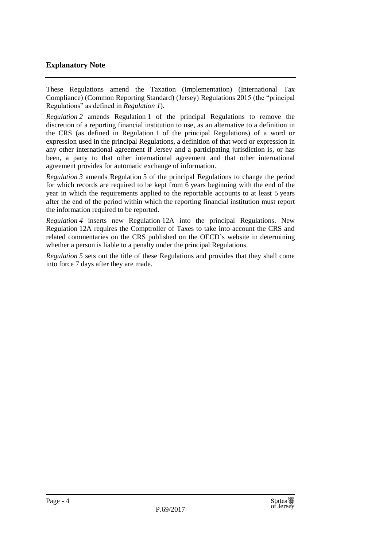## **Explanatory Note**

These Regulations amend the Taxation (Implementation) (International Tax Compliance) (Common Reporting Standard) (Jersey) Regulations 2015 (the "principal Regulations" as defined in *Regulation 1*).

*Regulation 2* amends Regulation 1 of the principal Regulations to remove the discretion of a reporting financial institution to use, as an alternative to a definition in the CRS (as defined in Regulation 1 of the principal Regulations) of a word or expression used in the principal Regulations, a definition of that word or expression in any other international agreement if Jersey and a participating jurisdiction is, or has been, a party to that other international agreement and that other international agreement provides for automatic exchange of information.

*Regulation 3* amends Regulation 5 of the principal Regulations to change the period for which records are required to be kept from 6 years beginning with the end of the year in which the requirements applied to the reportable accounts to at least 5 years after the end of the period within which the reporting financial institution must report the information required to be reported.

*Regulation 4* inserts new Regulation 12A into the principal Regulations. New Regulation 12A requires the Comptroller of Taxes to take into account the CRS and related commentaries on the CRS published on the OECD's website in determining whether a person is liable to a penalty under the principal Regulations.

*Regulation 5* sets out the title of these Regulations and provides that they shall come into force 7 days after they are made.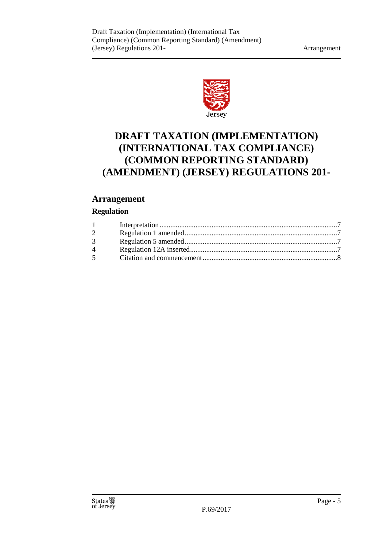

# **DRAFT TAXATION (IMPLEMENTATION) (INTERNATIONAL TAX COMPLIANCE) (COMMON REPORTING STANDARD) (AMENDMENT) (JERSEY) REGULATIONS 201-**

## **Arrangement**

## **Regulation**

| $1 -$          |  |
|----------------|--|
| $\overline{2}$ |  |
| $3^{\circ}$    |  |
| $\overline{4}$ |  |
| 5 <sup>5</sup> |  |
|                |  |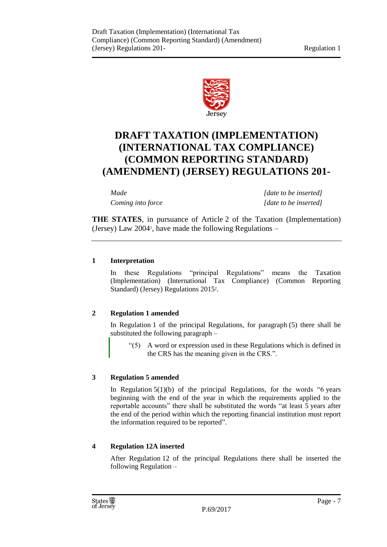

## **DRAFT TAXATION (IMPLEMENTATION) (INTERNATIONAL TAX COMPLIANCE) (COMMON REPORTING STANDARD) (AMENDMENT) (JERSEY) REGULATIONS 201-**

*Made [date to be inserted] Coming into force [date to be inserted]*

**THE STATES**, in pursuance of Article 2 of the Taxation (Implementation) (Jersey) Law 2004<sup>1</sup> , have made the following Regulations –

## <span id="page-6-0"></span>**1 Interpretation**

In these Regulations "principal Regulations" means the Taxation (Implementation) (International Tax Compliance) (Common Reporting Standard) (Jersey) Regulations 2015<sup>2</sup>.

## <span id="page-6-1"></span>**2 Regulation 1 amended**

In Regulation 1 of the principal Regulations, for paragraph (5) there shall be substituted the following paragraph –

"(5) A word or expression used in these Regulations which is defined in the CRS has the meaning given in the CRS.".

## <span id="page-6-2"></span>**3 Regulation 5 amended**

In Regulation  $5(1)(b)$  of the principal Regulations, for the words "6 years" beginning with the end of the year in which the requirements applied to the reportable accounts" there shall be substituted the words "at least 5 years after the end of the period within which the reporting financial institution must report the information required to be reported".

## <span id="page-6-3"></span>**4 Regulation 12A inserted**

After Regulation 12 of the principal Regulations there shall be inserted the following Regulation –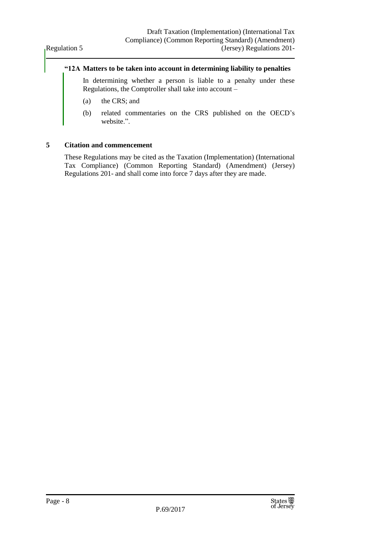#### **"12A Matters to be taken into account in determining liability to penalties**

In determining whether a person is liable to a penalty under these Regulations, the Comptroller shall take into account –

- (a) the CRS; and
- (b) related commentaries on the CRS published on the OECD's website.".

#### <span id="page-7-0"></span>**5 Citation and commencement**

These Regulations may be cited as the Taxation (Implementation) (International Tax Compliance) (Common Reporting Standard) (Amendment) (Jersey) Regulations 201- and shall come into force 7 days after they are made.